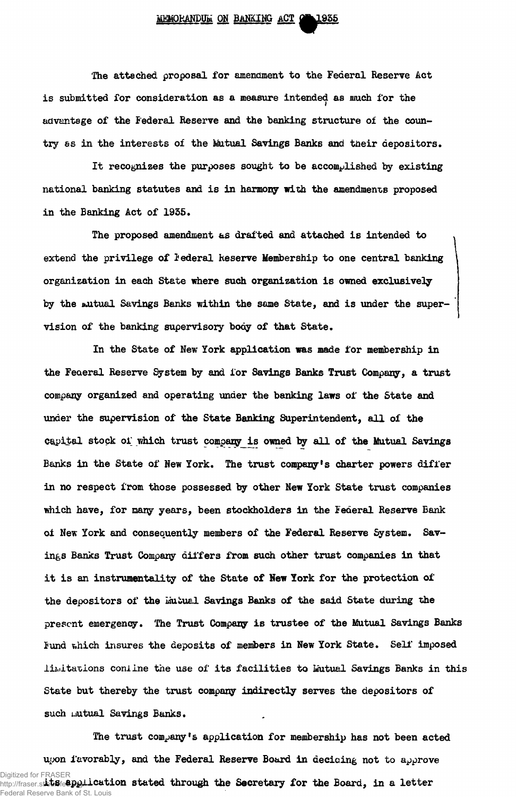**The attached proposal for amendment to the Federal Reserve Act is submitted for consideration as a measure intended as much for the advantage of the Federal Reserve and the banking structure of the country as in the interests of the Mutual Savings Banks and tneir depositors.**

**It recognizes the purposes sought to be accomplished by existing national banking statutes and is in harmony with the amendments proposed in the Banking Act of 1955.**

**The proposed amendment as drafted and attached is intended to extend the privilege of federal heserve Membership to one central banking organization in each State where such organization is owned exclusively by the mutual Savings Banks within the same State, and is under the supervision of the banking supervisory body of that State.**

**In the State of New York application was made for membership in the Federal Reserve System by and for Savings Banks Trust Company, a trust company organized and operating under the banking laws of the State and under the supervision of the State Banking Superintendent, all of the capital stock oi which trust companyis owned by all of the Mutual Savings Banks in the State of New York. The trust company's charter powers differ in no respect from those possessed by other New York State trust companies which have, for many years, been stockholders in the Federal Reserve Bank of New York and consequently members of the Federal Reserve System. Savings Banks Trust Company differs from such other trust companies in that it is an instrumentality of the State of New York for the protection of** the depositors of the *Mutual Savings Banks* of the said State during the **present emergency. The Trust Company is trustee of the Mutual Savings Banks fund v,hich insures the deposits of members in New York State. Self imposed limitations coniine the use of its facilities to Mutual Savings Banks in this State but thereby the trust company indirectly serves the depositors of such uutual Savings Banks.**

**The trust company's application for membership has not been acted** upon favorably, and the Federal Reserve Board in deciding not to approve Digitized for FRASER<br>http://fraser.s**tbb8fe@DQLication stated through the Secretary for the Board, in a letter** http://fraser.st**louis**fe<del>d.DId/</del> Federal Reserve Bank of St. Louis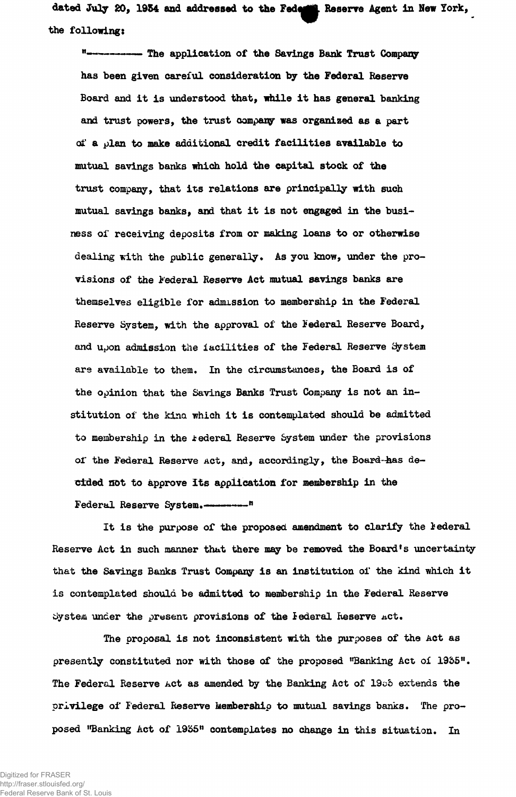dated July 20, 1954 and addressed to the Federic Reserve Agent in New York, the following:

**------- The application of the Savings Bank Trust Company** has been given careful consideration by the Federal Reserve Board and it is understood that, while it has general banking and trust powers, the trust oompany was organized as a part of a plan to make additional credit facilities available to mutual savings banks which hold the capital stock of the trust company, that its relations are principally with such mutual savings banks, and that it is not engaged in the business of receiving deposits from or making loans to or otherwise dealing with the public generally. As you know, under the provisions of the Federal Reserve Act mutual savings banks are themselves eligible for admission to membership in the Federal Reserve System, with the approval of the Federal Reserve Board, and upon admission the iacilities of the Federal Reserve System are available to them. In the circumstances, the Board is of the opinion that the Savings Banks Trust Company is not an institution of the kina which it is contemplated should be admitted to membership in the federal Reserve System under the provisions of the Federal Reserve Act, and, accordingly, the Board-has decided not to approve its application for membership in the Federal Reserve System.

It is the purpose of the proposed amendment to clarify the lederal Reserve Act in such manner that there may be removed the Board's uncertainty that the Savings Banks Trust Company is an institution of the kind which it is contemplated should be admitted to membership in the Federal Reserve System under the present provisions of the Iederal Reserve act.

The proposal is not inconsistent with the purposes of the Act as presently constituted nor with those of the proposed "Banking Act of 1955". The Federal Reserve Act as amended by the Banking Act of 1905 extends the privilege of Federal Reserve Membership to mutual savings banks. The proposed "Banking Act of 1935" contemplates no change in this situation. In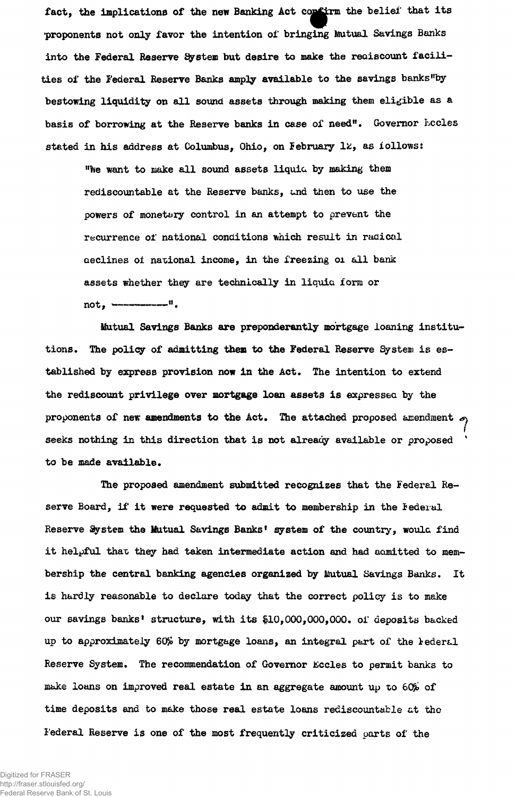fact, the implications of the new Banking Act confirm the belief that its proponents not only favor the intention of bringing Mutual Savings Banks **into the Federal Reserve System but desire to make the rediscount facilities of the Federal Reserve Banks ampJy available to the savings banks"by bestowing liquidity on all sound assets through making them eligible as a basis of borrowing at the Reserve banks in case of need". Governor Lccles stated in his address at Columbus, Ohio, on February 1&, as follows:**

**"foe want to make all sound assets liquid by making them** rediscountable at the Reserve banks, and then to use the **powers of monetary control in an attempt to prevent the recurrence of national conditions which result in radical aedines of national income, in the freezing 01 all bank assets whether they are technically in liquia form or** not, -------------<sup>"</sup>.

**Mutual Savings Banks are preponderantly mortgage loaning institutions. The policy of admitting them to the Federal Reserve System is established by express provision now in the Act. The intention to extend the rediscount privilege over mortgage loan assets is expressed by the** proponents of new amendments to the Act. The attached proposed amendment  $\sigma$ seeks nothing in this direction that is not already available or proposed **to be made available.**

**The proposed amendment submitted recognizes that the Federal Reserve Board, if it were requested to admit to membership in the iederal Reserve System the Mutual Savings Banks<sup>1</sup> system of the country, would find** it helpful that they had taken intermediate action and had admitted to mem**bership the central banking agencies organized by Mutual Savings Banks. It is hardly reasonable to declare today that the correct policy is to make our savings banks<sup>1</sup> structure, with its \$10,000,000,000. oi\* deposits backed up to approximately 60£ by mortgage loans, an integral part of the federal Reserve System. The recommendation of Governor Kccles to permit banks to** make loans on improved real estate in an aggregate amount up to 60% of **time deposits and to make those real estate loans rediscountable at the Federal Reserve is one of the most frequently criticized parts of the**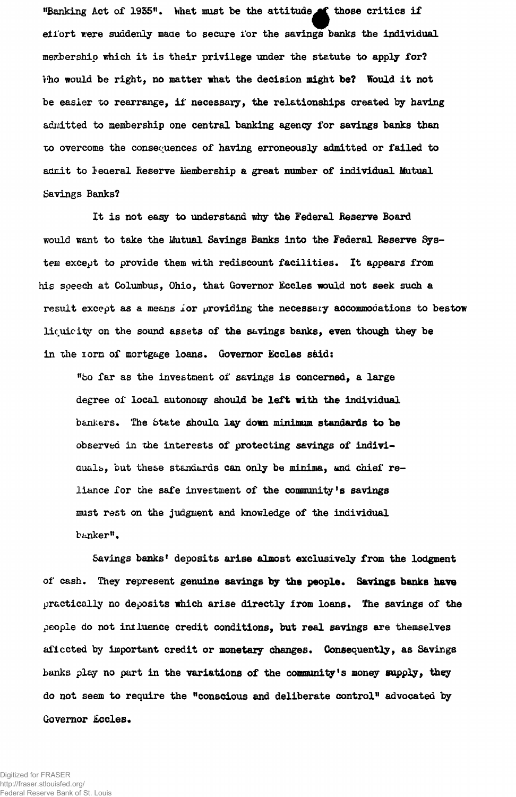"Banking Act of 1935". What must be the attitude of those critics if eii'ort were suddenly made to secure i'or the savings banks the individual membership which it is their privilege under the statute to apply for? tho would be right, no matter what the decision might be? Would it not be easier to rearrange, if necessary, the relationships created by having admitted to membership one central banking agency for savings banks than •oo overcome the consequences of having erroneously admitted or failed to admit to leaeral Reserve Membership a great number of individual Mutual Savings Banks?

It is not easy to understand why the Federal Reserve Board would want to take the Mutual Savings Banks into the Federal Reserve System except to provide them with rediscount facilities. It appears from his speech at Columbus, Ohio, that Governor Eccles would not seek such a result except as a means ior providing the necessary accommodations to bestow liquicity on the sound assets of the savings banks, even though they be in the lorn of mortgage loans. Governor Eccles said:

"bo far as the investment of savings is concerned, a large degree of local autonony should be left with the individual bankers. The State should lay down minimum standards to be observed in the interests of protecting savings of indiviauals, but these standards can only be minima, and chief reliance for the safe investment of the community's savings must rest on the judgment and knowledge of the individual banker".

Savings banks' deposits arise almost exclusively from the lodgment of cash. They represent genuine savings **by the** people. **Savings banks have** practically no deposits which arise directly from loans. The savings of the people do not intluenee credit conditions, but real savings are themselves aficcted by important credit or monetary changes. Consequently, as Savings banks play no part in the variations of the community's money supply, they do not seem to require the "conscious and deliberate control" advocated by Governor Eccles.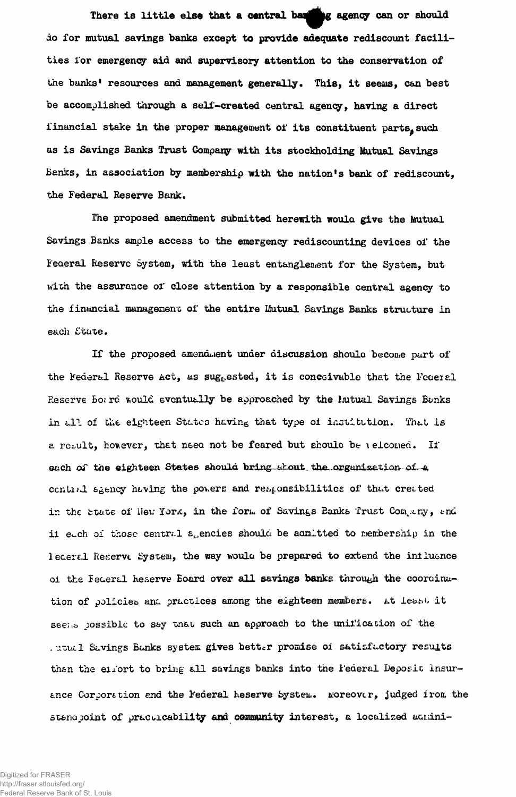There is little else that a central ban**king** agency can or should do for mutual savings banks except to provide adequate rediscount facilities for emergency aid and supervisory attention to the conservation of the banks' resources and management generally. This, it seems, can best be accomplished through a self-created central agency, having a direct financial stake in the proper management of its constituent parts, such as is Savings Banks Trust Company with its stockholding Mutual Savings Banks, in association by membership with the nation's bank of rediscount, the Federal Reserve Bank.

The proposed amendment submitted herewith woula give the Mutual Savings Banks ample access to the emergency rediscounting devices of the Federal Reserve System, with the least entanglement for the System, but with the assurance or close attention by a responsible central agency to the financial management of the entire Mutual Savings Banks structure in each State.

If the proposed amendment under discussion shoula become part of the Federal Reserve Act, as suggested, it is conceivable that the Federal Reserve Bo; rd would eventually be approached by the initual Savings Banks in all of the eighteen States having that type of institution. That is a result, honever, that need not be feared but should be \elcomed. If each of the eighteen States should bring-about the organization-of-a contial  $a_{\beta}$ ency having the powers and responsibilities of that created in the state of llew York, in the form of Savings Banks Trust Company, and ii each of those central soencies should be admitted to membership in the leceral Reserve System, the way would be prepared to extend the influence of the Federal Reserve Board over all savings banks through the coordination of policies and practices among the eighteen members. At least it see:... possible to say that such an approach to the unification of the . ututl Savings Banks system gives better promise of satisfactory results then the eitort to bring all savings banks into the l'ederal Deposit Insurance Corporation and the Federal Reserve System. Moreover, judged irom the stand point of practicability and community interest, a localized admini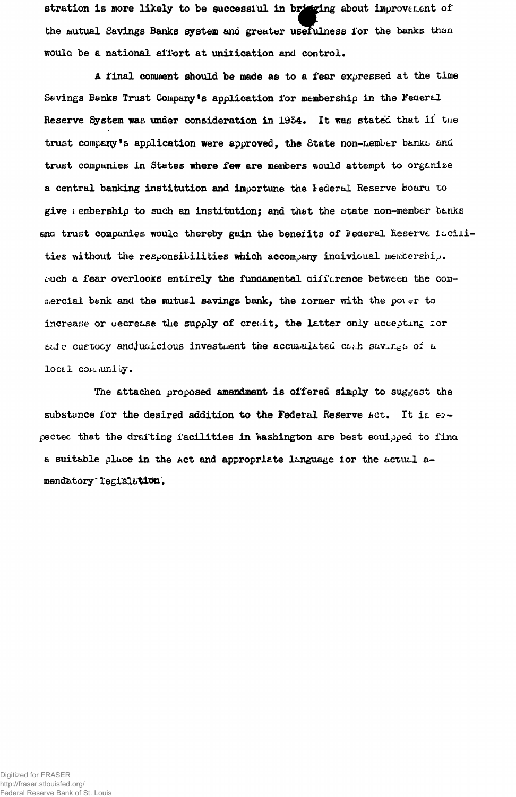stration is more likely to be successful in bringing about improvement of **bhe mutual Savings Banks system and greater usefulness for the banks than woula be a national effort at unification and control.**

**A final comment should be made as to a fear expressed at the time S&vings Banks Trust Company^ application for membership in the Federal** Reserve System was under consideration in 1934. It was stated that ii the trust company<sup>1</sup>s application were approved, the State non-Lember banks and **trust companies in States where few are members would attempt to organize a central banking institution and importune the iederal Reserve boaru to give 1 embership to such an institution) and that the state non-member banks** ana trust companies would thereby gain the beneiits of Federal Reserve iacili**ties without the responsibilities which accompany inaivioual membership,** buch a fear overlooks entirely the fundamental difference between the com**mercial bank and the mutual savings bank, the iormer with the po\ «?r to** increase or uecrease the supply of crewit, the latter only accepting for **saie cuetocy andjuaicious investment the accumulated cost savings of a loctl com. iuni oy.**

**The attachea proposed amendment is offered simply to suggest the** substance for the desired addition to the Federal Reserve Act. It is  $\epsilon$ <sub>2</sub>**pectec that the drafting facilities in Washington are best eouipped to fina a suit&ble place in the Act and appropriate language ior the actual a** $m$ endatory legislation.